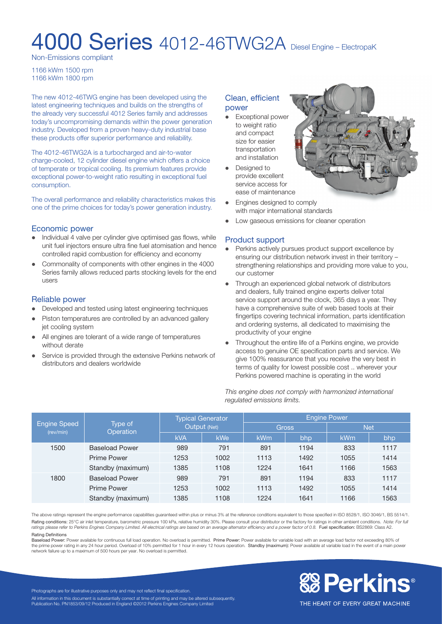# **4000 Series** 4012-46TWG2A Diesel Engine – ElectropaK

Non-Emissions compliant

1166 kWm 1500 rpm 1166 kWm 1800 rpm

The new 4012-46TWG engine has been developed using the latest engineering techniques and builds on the strengths of the already very successful 4012 Series family and addresses today's uncompromising demands within the power generation industry. Developed from a proven heavy-duty industrial base these products offer superior performance and reliability.

The 4012-46TWG2A is a turbocharged and air-to-water charge-cooled, 12 cylinder diesel engine which offers a choice of temperate or tropical cooling. Its premium features provide exceptional power-to-weight ratio resulting in exceptional fuel consumption.

The overall performance and reliability characteristics makes this one of the prime choices for today's power generation industry.

# Economic power

- Individual 4 valve per cylinder give optimised gas flows, while unit fuel injectors ensure ultra fine fuel atomisation and hence controlled rapid combustion for efficiency and economy
- Commonality of components with other engines in the 4000 Series family allows reduced parts stocking levels for the end users

#### Reliable power

- Developed and tested using latest engineering techniques
- Piston temperatures are controlled by an advanced gallery jet cooling system
- All engines are tolerant of a wide range of temperatures without derate
- Service is provided through the extensive Perkins network of distributors and dealers worldwide

#### Clean, efficient power

- Exceptional power to weight ratio and compact size for easier transportation and installation • Designed to
- provide excellent service access for ease of maintenance
- Engines designed to comply with major international standards
- Low gaseous emissions for cleaner operation

# Product support

- Perkins actively pursues product support excellence by ensuring our distribution network invest in their territory – strengthening relationships and providing more value to you, our customer
- Through an experienced global network of distributors and dealers, fully trained engine experts deliver total service support around the clock, 365 days a year. They have a comprehensive suite of web based tools at their fingertips covering technical information, parts identification and ordering systems, all dedicated to maximising the productivity of your engine
- Throughout the entire life of a Perkins engine, we provide access to genuine OE specification parts and service. We give 100% reassurance that you receive the very best in terms of quality for lowest possible cost .. wherever your Perkins powered machine is operating in the world

*This engine does not comply with harmonized international regulated emissions limits.*

| <b>Engine Speed</b><br>(rev/min) | Type of<br>Operation  | <b>Typical Generator</b><br>Output (Net) |      | <b>Engine Power</b> |      |            |      |
|----------------------------------|-----------------------|------------------------------------------|------|---------------------|------|------------|------|
|                                  |                       |                                          |      | <b>Gross</b>        |      | <b>Net</b> |      |
|                                  |                       | <b>kVA</b>                               | kWe  | kWm                 | bhp  | kWm        | bhp  |
| 1500                             | <b>Baseload Power</b> | 989                                      | 791  | 891                 | 1194 | 833        | 1117 |
|                                  | <b>Prime Power</b>    | 1253                                     | 1002 | 1113                | 1492 | 1055       | 1414 |
|                                  | Standby (maximum)     | 1385                                     | 1108 | 1224                | 1641 | 1166       | 1563 |
| 1800                             | <b>Baseload Power</b> | 989                                      | 791  | 891                 | 1194 | 833        | 1117 |
|                                  | <b>Prime Power</b>    | 1253                                     | 1002 | 1113                | 1492 | 1055       | 1414 |
|                                  | Standby (maximum)     | 1385                                     | 1108 | 1224                | 1641 | 1166       | 1563 |

The above ratings represent the engine performance capabilities guaranteed within plus or minus 3% at the reference conditions equivalent to those specified in ISO 8528/1, ISO 3046/1, BS 5514/1. Rating conditions: 25°C air inlet temperature, barometric pressure 100 kPa, relative humidity 30%. Please consult your distributor or the factory for ratings in other ambient conditions. Note: For full ratings please refer to Perkins Engines Company Limited. All electrical ratings are based on an average alternator efficiency and a power factor of 0.8. Fuel specification: BS2869: Class A2. Rating Definitions

Baseload Power: Power available for continuous full load operation. No overload is permitted. Prime Power: Power available for variable load with an average load factor not exceeding 80% of the prime power rating in any 24 hour period. Overload of 10% permitted for 1 hour in every 12 hours operation. Standby (maximum): Power available at variable load in the event of a main power network failure up to a maximum of 500 hours per year. No overload is permitted.



Photographs are for illustrative purposes only and may not reflect final specification. All information in this document is substantially correct at time of printing and may be altered subsequently. Publication No. PN1853/09/12 Produced in England ©2012 Perkins Engines Company Limited